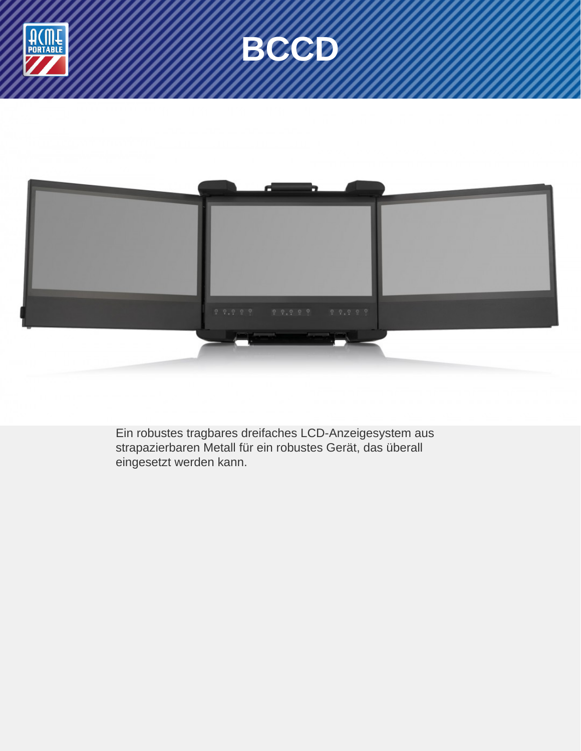





Ein robustes tragbares dreifaches LCD-Anzeigesystem aus strapazierbaren Metall für ein robustes Gerät, das überall eingesetzt werden kann.